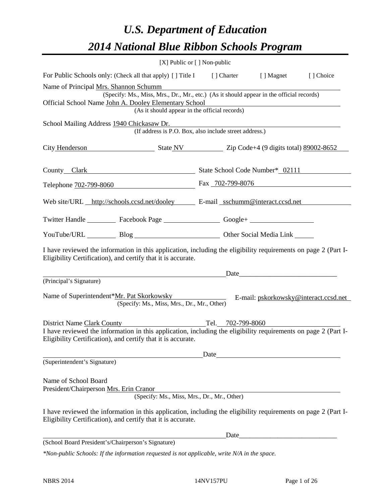# *U.S. Department of Education 2014 National Blue Ribbon Schools Program*

|                                                                                                                                                                                | [X] Public or [] Non-public                            |                   |                                                                                                                                                                                                                                |           |
|--------------------------------------------------------------------------------------------------------------------------------------------------------------------------------|--------------------------------------------------------|-------------------|--------------------------------------------------------------------------------------------------------------------------------------------------------------------------------------------------------------------------------|-----------|
| For Public Schools only: (Check all that apply) [] Title I [] Charter [] Magnet                                                                                                |                                                        |                   |                                                                                                                                                                                                                                | [] Choice |
| Name of Principal Mrs. Shannon Schumm<br>Official School Name John A. Dooley Elementary School                                                                                 | (As it should appear in the official records)          |                   | (Specify: Ms., Miss, Mrs., Dr., Mr., etc.) (As it should appear in the official records)                                                                                                                                       |           |
| School Mailing Address 1940 Chickasaw Dr.                                                                                                                                      | (If address is P.O. Box, also include street address.) |                   |                                                                                                                                                                                                                                |           |
| City Henderson State NV Zip Code+4 (9 digits total) 89002-8652                                                                                                                 |                                                        |                   |                                                                                                                                                                                                                                |           |
| County Clark School Code Number* 02111                                                                                                                                         |                                                        |                   |                                                                                                                                                                                                                                |           |
| Telephone 702-799-8060 Fax 702-799-8076                                                                                                                                        |                                                        |                   |                                                                                                                                                                                                                                |           |
| Web site/URL http://schools.ccsd.net/dooley E-mail sschumm@interact.ccsd.net                                                                                                   |                                                        |                   |                                                                                                                                                                                                                                |           |
| Twitter Handle ___________ Facebook Page ___________________ Google+ ____________                                                                                              |                                                        |                   |                                                                                                                                                                                                                                |           |
| YouTube/URL Blog Blog Cher Social Media Link                                                                                                                                   |                                                        |                   |                                                                                                                                                                                                                                |           |
| I have reviewed the information in this application, including the eligibility requirements on page 2 (Part I-<br>Eligibility Certification), and certify that it is accurate. |                                                        |                   |                                                                                                                                                                                                                                |           |
|                                                                                                                                                                                |                                                        |                   | Date and the contract of the contract of the contract of the contract of the contract of the contract of the contract of the contract of the contract of the contract of the contract of the contract of the contract of the c |           |
| (Principal's Signature)<br>Name of Superintendent*Mr. Pat Skorkowsky                                                                                                           | (Specify: Ms., Miss, Mrs., Dr., Mr., Other)            |                   | E-mail: pskorkowsky@interact.ccsd.net                                                                                                                                                                                          |           |
| District Name Clark County                                                                                                                                                     |                                                        | Tel. 702-799-8060 |                                                                                                                                                                                                                                |           |
| I have reviewed the information in this application, including the eligibility requirements on page 2 (Part I-<br>Eligibility Certification), and certify that it is accurate. |                                                        |                   |                                                                                                                                                                                                                                |           |
|                                                                                                                                                                                |                                                        | Date              |                                                                                                                                                                                                                                |           |
| (Superintendent's Signature)                                                                                                                                                   |                                                        |                   |                                                                                                                                                                                                                                |           |
| Name of School Board<br>President/Chairperson Mrs. Erin Cranor                                                                                                                 | (Specify: Ms., Miss, Mrs., Dr., Mr., Other)            |                   |                                                                                                                                                                                                                                |           |
| I have reviewed the information in this application, including the eligibility requirements on page 2 (Part I-<br>Eligibility Certification), and certify that it is accurate. |                                                        |                   |                                                                                                                                                                                                                                |           |
|                                                                                                                                                                                |                                                        | Date              |                                                                                                                                                                                                                                |           |
| (School Board President's/Chairperson's Signature)                                                                                                                             |                                                        |                   |                                                                                                                                                                                                                                |           |
| *Non-public Schools: If the information requested is not applicable, write N/A in the space.                                                                                   |                                                        |                   |                                                                                                                                                                                                                                |           |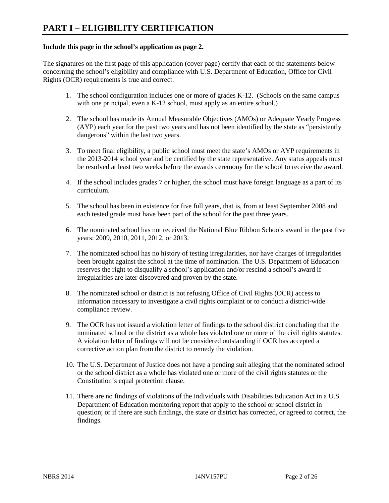#### **Include this page in the school's application as page 2.**

The signatures on the first page of this application (cover page) certify that each of the statements below concerning the school's eligibility and compliance with U.S. Department of Education, Office for Civil Rights (OCR) requirements is true and correct.

- 1. The school configuration includes one or more of grades K-12. (Schools on the same campus with one principal, even a K-12 school, must apply as an entire school.)
- 2. The school has made its Annual Measurable Objectives (AMOs) or Adequate Yearly Progress (AYP) each year for the past two years and has not been identified by the state as "persistently dangerous" within the last two years.
- 3. To meet final eligibility, a public school must meet the state's AMOs or AYP requirements in the 2013-2014 school year and be certified by the state representative. Any status appeals must be resolved at least two weeks before the awards ceremony for the school to receive the award.
- 4. If the school includes grades 7 or higher, the school must have foreign language as a part of its curriculum.
- 5. The school has been in existence for five full years, that is, from at least September 2008 and each tested grade must have been part of the school for the past three years.
- 6. The nominated school has not received the National Blue Ribbon Schools award in the past five years: 2009, 2010, 2011, 2012, or 2013.
- 7. The nominated school has no history of testing irregularities, nor have charges of irregularities been brought against the school at the time of nomination. The U.S. Department of Education reserves the right to disqualify a school's application and/or rescind a school's award if irregularities are later discovered and proven by the state.
- 8. The nominated school or district is not refusing Office of Civil Rights (OCR) access to information necessary to investigate a civil rights complaint or to conduct a district-wide compliance review.
- 9. The OCR has not issued a violation letter of findings to the school district concluding that the nominated school or the district as a whole has violated one or more of the civil rights statutes. A violation letter of findings will not be considered outstanding if OCR has accepted a corrective action plan from the district to remedy the violation.
- 10. The U.S. Department of Justice does not have a pending suit alleging that the nominated school or the school district as a whole has violated one or more of the civil rights statutes or the Constitution's equal protection clause.
- 11. There are no findings of violations of the Individuals with Disabilities Education Act in a U.S. Department of Education monitoring report that apply to the school or school district in question; or if there are such findings, the state or district has corrected, or agreed to correct, the findings.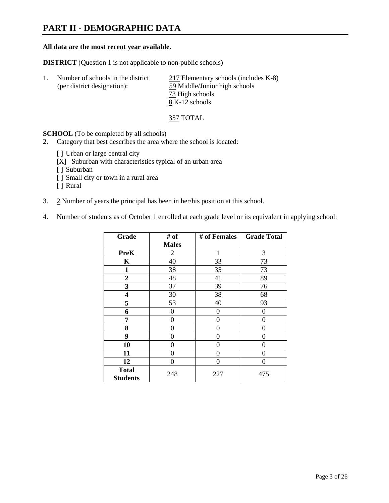## **PART II - DEMOGRAPHIC DATA**

#### **All data are the most recent year available.**

**DISTRICT** (Question 1 is not applicable to non-public schools)

| Number of schools in the district<br>(per district designation): | 217 Elementary schools (includes K-8)<br>59 Middle/Junior high schools |
|------------------------------------------------------------------|------------------------------------------------------------------------|
|                                                                  | 73 High schools                                                        |
|                                                                  | 8 K-12 schools                                                         |

357 TOTAL

**SCHOOL** (To be completed by all schools)

- 2. Category that best describes the area where the school is located:
	- [] Urban or large central city
	- [X] Suburban with characteristics typical of an urban area
	- [ ] Suburban
	- [ ] Small city or town in a rural area
	- [ ] Rural
- 3. 2 Number of years the principal has been in her/his position at this school.
- 4. Number of students as of October 1 enrolled at each grade level or its equivalent in applying school:

| Grade                           | # of           | # of Females | <b>Grade Total</b> |
|---------------------------------|----------------|--------------|--------------------|
|                                 | <b>Males</b>   |              |                    |
| <b>PreK</b>                     | $\overline{2}$ | 1            | 3                  |
| K                               | 40             | 33           | 73                 |
| $\mathbf{1}$                    | 38             | 35           | 73                 |
| $\overline{2}$                  | 48             | 41           | 89                 |
| 3                               | 37             | 39           | 76                 |
| 4                               | 30             | 38           | 68                 |
| 5                               | 53             | 40           | 93                 |
| 6                               | 0              | 0            | 0                  |
| 7                               | 0              | 0            | 0                  |
| 8                               | 0              | 0            | 0                  |
| 9                               | 0              | 0            | 0                  |
| 10                              | 0              | 0            | 0                  |
| 11                              | 0              | 0            | 0                  |
| 12                              | 0              | 0            | 0                  |
| <b>Total</b><br><b>Students</b> | 248            | 227          | 475                |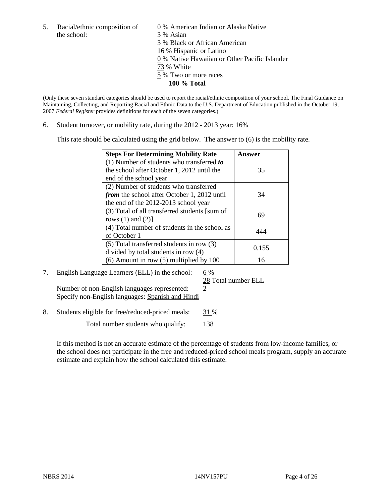the school: 3 % Asian

5. Racial/ethnic composition of  $\qquad \qquad \underline{0}$  % American Indian or Alaska Native 3 % Black or African American 16 % Hispanic or Latino 0 % Native Hawaiian or Other Pacific Islander 73 % White 5 % Two or more races **100 % Total**

(Only these seven standard categories should be used to report the racial/ethnic composition of your school. The Final Guidance on Maintaining, Collecting, and Reporting Racial and Ethnic Data to the U.S. Department of Education published in the October 19, 2007 *Federal Register* provides definitions for each of the seven categories.)

6. Student turnover, or mobility rate, during the 2012 - 2013 year: 16%

This rate should be calculated using the grid below. The answer to (6) is the mobility rate.

| <b>Steps For Determining Mobility Rate</b>    | Answer |
|-----------------------------------------------|--------|
| (1) Number of students who transferred to     |        |
| the school after October 1, 2012 until the    | 35     |
| end of the school year                        |        |
| (2) Number of students who transferred        |        |
| from the school after October 1, 2012 until   | 34     |
| the end of the 2012-2013 school year          |        |
| (3) Total of all transferred students [sum of | 69     |
| rows $(1)$ and $(2)$ ]                        |        |
| (4) Total number of students in the school as | 444    |
| of October 1                                  |        |
| $(5)$ Total transferred students in row $(3)$ | 0.155  |
| divided by total students in row (4)          |        |
| $(6)$ Amount in row $(5)$ multiplied by 100   | 16     |

# 7. English Language Learners (ELL) in the school:  $6\%$

28 Total number ELL

Number of non-English languages represented:  $2$ Specify non-English languages: Spanish and Hindi

8. Students eligible for free/reduced-priced meals: 31 %

Total number students who qualify: 138

If this method is not an accurate estimate of the percentage of students from low-income families, or the school does not participate in the free and reduced-priced school meals program, supply an accurate estimate and explain how the school calculated this estimate.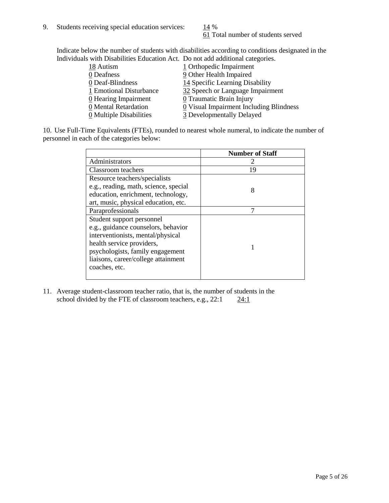61 Total number of students served

Indicate below the number of students with disabilities according to conditions designated in the Individuals with Disabilities Education Act. Do not add additional categories.

| 18 Autism               | 1 Orthopedic Impairment                 |
|-------------------------|-----------------------------------------|
| 0 Deafness              | 9 Other Health Impaired                 |
| 0 Deaf-Blindness        | 14 Specific Learning Disability         |
| 1 Emotional Disturbance | 32 Speech or Language Impairment        |
| $Q$ Hearing Impairment  | 0 Traumatic Brain Injury                |
| 0 Mental Retardation    | 0 Visual Impairment Including Blindness |
| 0 Multiple Disabilities | 3 Developmentally Delayed               |
|                         |                                         |

10. Use Full-Time Equivalents (FTEs), rounded to nearest whole numeral, to indicate the number of personnel in each of the categories below:

|                                       | <b>Number of Staff</b> |
|---------------------------------------|------------------------|
| Administrators                        |                        |
| Classroom teachers                    | 19                     |
| Resource teachers/specialists         |                        |
| e.g., reading, math, science, special | 8                      |
| education, enrichment, technology,    |                        |
| art, music, physical education, etc.  |                        |
| Paraprofessionals                     |                        |
| Student support personnel             |                        |
| e.g., guidance counselors, behavior   |                        |
| interventionists, mental/physical     |                        |
| health service providers,             |                        |
| psychologists, family engagement      |                        |
| liaisons, career/college attainment   |                        |
| coaches, etc.                         |                        |
|                                       |                        |

11. Average student-classroom teacher ratio, that is, the number of students in the school divided by the FTE of classroom teachers, e.g.,  $22:1$   $24:1$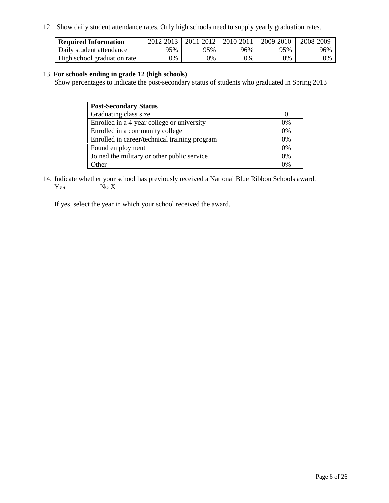12. Show daily student attendance rates. Only high schools need to supply yearly graduation rates.

| <b>Required Information</b> | 2012-2013 | 2011-2012 | 2010-2011 | 2009-2010 | 2008-2009 |
|-----------------------------|-----------|-----------|-----------|-----------|-----------|
| Daily student attendance    | 95%       | 95%       | 96%       | 95%       | 96%       |
| High school graduation rate | 0%        | 9%        | 0%        | 0%        | 0%        |

#### 13. **For schools ending in grade 12 (high schools)**

Show percentages to indicate the post-secondary status of students who graduated in Spring 2013

| <b>Post-Secondary Status</b>                  |          |
|-----------------------------------------------|----------|
| Graduating class size                         |          |
| Enrolled in a 4-year college or university    | $0\%$    |
| Enrolled in a community college               | 0%       |
| Enrolled in career/technical training program | 0%       |
| Found employment                              | 0%       |
| Joined the military or other public service   | 0%       |
| )ther                                         | $\gamma$ |

14. Indicate whether your school has previously received a National Blue Ribbon Schools award.  $Yes$  No  $X$ 

If yes, select the year in which your school received the award.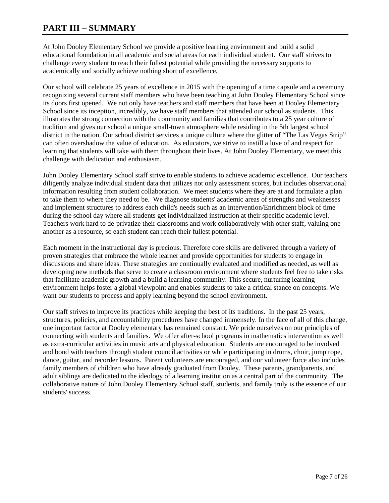## **PART III – SUMMARY**

At John Dooley Elementary School we provide a positive learning environment and build a solid educational foundation in all academic and social areas for each individual student. Our staff strives to challenge every student to reach their fullest potential while providing the necessary supports to academically and socially achieve nothing short of excellence.

Our school will celebrate 25 years of excellence in 2015 with the opening of a time capsule and a ceremony recognizing several current staff members who have been teaching at John Dooley Elementary School since its doors first opened. We not only have teachers and staff members that have been at Dooley Elementary School since its inception, incredibly, we have staff members that attended our school as students. This illustrates the strong connection with the community and families that contributes to a 25 year culture of tradition and gives our school a unique small-town atmosphere while residing in the 5th largest school district in the nation. Our school district services a unique culture where the glitter of "The Las Vegas Strip" can often overshadow the value of education. As educators, we strive to instill a love of and respect for learning that students will take with them throughout their lives. At John Dooley Elementary, we meet this challenge with dedication and enthusiasm.

John Dooley Elementary School staff strive to enable students to achieve academic excellence. Our teachers diligently analyze individual student data that utilizes not only assessment scores, but includes observational information resulting from student collaboration. We meet students where they are at and formulate a plan to take them to where they need to be. We diagnose students' academic areas of strengths and weaknesses and implement structures to address each child's needs such as an Intervention/Enrichment block of time during the school day where all students get individualized instruction at their specific academic level. Teachers work hard to de-privatize their classrooms and work collaboratively with other staff, valuing one another as a resource, so each student can reach their fullest potential.

Each moment in the instructional day is precious. Therefore core skills are delivered through a variety of proven strategies that embrace the whole learner and provide opportunities for students to engage in discussions and share ideas. These strategies are continually evaluated and modified as needed, as well as developing new methods that serve to create a classroom environment where students feel free to take risks that facilitate academic growth and a build a learning community. This secure, nurturing learning environment helps foster a global viewpoint and enables students to take a critical stance on concepts. We want our students to process and apply learning beyond the school environment.

Our staff strives to improve its practices while keeping the best of its traditions. In the past 25 years, structures, policies, and accountability procedures have changed immensely. In the face of all of this change, one important factor at Dooley elementary has remained constant. We pride ourselves on our principles of connecting with students and families. We offer after-school programs in mathematics intervention as well as extra-curricular activities in music arts and physical education. Students are encouraged to be involved and bond with teachers through student council activities or while participating in drums, choir, jump rope, dance, guitar, and recorder lessons. Parent volunteers are encouraged, and our volunteer force also includes family members of children who have already graduated from Dooley. These parents, grandparents, and adult siblings are dedicated to the ideology of a learning institution as a central part of the community. The collaborative nature of John Dooley Elementary School staff, students, and family truly is the essence of our students' success.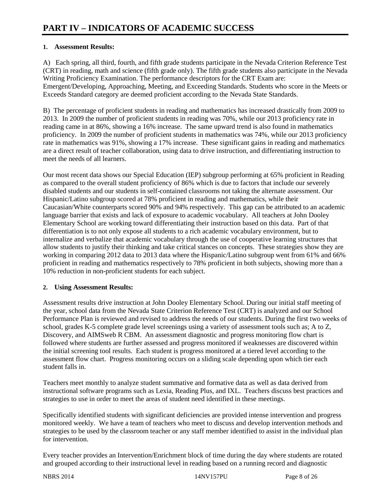### **1. Assessment Results:**

A) Each spring, all third, fourth, and fifth grade students participate in the Nevada Criterion Reference Test (CRT) in reading, math and science (fifth grade only). The fifth grade students also participate in the Nevada Writing Proficiency Examination. The performance descriptors for the CRT Exam are: Emergent/Developing, Approaching, Meeting, and Exceeding Standards. Students who score in the Meets or Exceeds Standard category are deemed proficient according to the Nevada State Standards.

B) The percentage of proficient students in reading and mathematics has increased drastically from 2009 to 2013. In 2009 the number of proficient students in reading was 70%, while our 2013 proficiency rate in reading came in at 86%, showing a 16% increase. The same upward trend is also found in mathematics proficiency. In 2009 the number of proficient students in mathematics was 74%, while our 2013 proficiency rate in mathematics was 91%, showing a 17% increase. These significant gains in reading and mathematics are a direct result of teacher collaboration, using data to drive instruction, and differentiating instruction to meet the needs of all learners.

Our most recent data shows our Special Education (IEP) subgroup performing at 65% proficient in Reading as compared to the overall student proficiency of 86% which is due to factors that include our severely disabled students and our students in self-contained classrooms not taking the alternate assessment. Our Hispanic/Latino subgroup scored at 78% proficient in reading and mathematics, while their Caucasian/White counterparts scored 90% and 94% respectively. This gap can be attributed to an academic language barrier that exists and lack of exposure to academic vocabulary. All teachers at John Dooley Elementary School are working toward differentiating their instruction based on this data. Part of that differentiation is to not only expose all students to a rich academic vocabulary environment, but to internalize and verbalize that academic vocabulary through the use of cooperative learning structures that allow students to justify their thinking and take critical stances on concepts. These strategies show they are working in comparing 2012 data to 2013 data where the Hispanic/Latino subgroup went from 61% and 66% proficient in reading and mathematics respectively to 78% proficient in both subjects, showing more than a 10% reduction in non-proficient students for each subject.

### **2. Using Assessment Results:**

Assessment results drive instruction at John Dooley Elementary School. During our initial staff meeting of the year, school data from the Nevada State Criterion Reference Test (CRT) is analyzed and our School Performance Plan is reviewed and revised to address the needs of our students. During the first two weeks of school, grades K-5 complete grade level screenings using a variety of assessment tools such as; A to Z, Discovery, and AIMSweb R CBM. An assessment diagnostic and progress monitoring flow chart is followed where students are further assessed and progress monitored if weaknesses are discovered within the initial screening tool results. Each student is progress monitored at a tiered level according to the assessment flow chart. Progress monitoring occurs on a sliding scale depending upon which tier each student falls in.

Teachers meet monthly to analyze student summative and formative data as well as data derived from instructional software programs such as Lexia, Reading Plus, and IXL. Teachers discuss best practices and strategies to use in order to meet the areas of student need identified in these meetings.

Specifically identified students with significant deficiencies are provided intense intervention and progress monitored weekly. We have a team of teachers who meet to discuss and develop intervention methods and strategies to be used by the classroom teacher or any staff member identified to assist in the individual plan for intervention.

Every teacher provides an Intervention/Enrichment block of time during the day where students are rotated and grouped according to their instructional level in reading based on a running record and diagnostic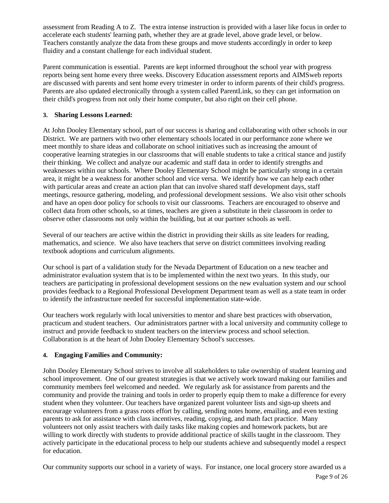assessment from Reading A to Z. The extra intense instruction is provided with a laser like focus in order to accelerate each students' learning path, whether they are at grade level, above grade level, or below. Teachers constantly analyze the data from these groups and move students accordingly in order to keep fluidity and a constant challenge for each individual student.

Parent communication is essential. Parents are kept informed throughout the school year with progress reports being sent home every three weeks. Discovery Education assessment reports and AIMSweb reports are discussed with parents and sent home every trimester in order to inform parents of their child's progress. Parents are also updated electronically through a system called ParentLink, so they can get information on their child's progress from not only their home computer, but also right on their cell phone.

### **3. Sharing Lessons Learned:**

At John Dooley Elementary school, part of our success is sharing and collaborating with other schools in our District. We are partners with two other elementary schools located in our performance zone where we meet monthly to share ideas and collaborate on school initiatives such as increasing the amount of cooperative learning strategies in our classrooms that will enable students to take a critical stance and justify their thinking. We collect and analyze our academic and staff data in order to identify strengths and weaknesses within our schools. Where Dooley Elementary School might be particularly strong in a certain area, it might be a weakness for another school and vice versa. We identify how we can help each other with particular areas and create an action plan that can involve shared staff development days, staff meetings, resource gathering, modeling, and professional development sessions. We also visit other schools and have an open door policy for schools to visit our classrooms. Teachers are encouraged to observe and collect data from other schools, so at times, teachers are given a substitute in their classroom in order to observe other classrooms not only within the building, but at our partner schools as well.

Several of our teachers are active within the district in providing their skills as site leaders for reading, mathematics, and science. We also have teachers that serve on district committees involving reading textbook adoptions and curriculum alignments.

Our school is part of a validation study for the Nevada Department of Education on a new teacher and administrator evaluation system that is to be implemented within the next two years. In this study, our teachers are participating in professional development sessions on the new evaluation system and our school provides feedback to a Regional Professional Development Department team as well as a state team in order to identify the infrastructure needed for successful implementation state-wide.

Our teachers work regularly with local universities to mentor and share best practices with observation, practicum and student teachers. Our administrators partner with a local university and community college to instruct and provide feedback to student teachers on the interview process and school selection. Collaboration is at the heart of John Dooley Elementary School's successes.

### **4. Engaging Families and Community:**

John Dooley Elementary School strives to involve all stakeholders to take ownership of student learning and school improvement. One of our greatest strategies is that we actively work toward making our families and community members feel welcomed and needed. We regularly ask for assistance from parents and the community and provide the training and tools in order to properly equip them to make a difference for every student when they volunteer. Our teachers have organized parent volunteer lists and sign-up sheets and encourage volunteers from a grass roots effort by calling, sending notes home, emailing, and even texting parents to ask for assistance with class incentives, reading, copying, and math fact practice. Many volunteers not only assist teachers with daily tasks like making copies and homework packets, but are willing to work directly with students to provide additional practice of skills taught in the classroom. They actively participate in the educational process to help our students achieve and subsequently model a respect for education.

Our community supports our school in a variety of ways. For instance, one local grocery store awarded us a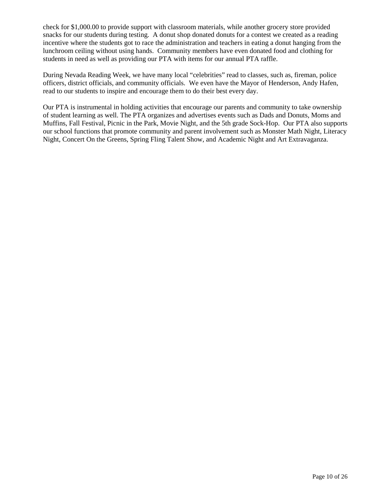check for \$1,000.00 to provide support with classroom materials, while another grocery store provided snacks for our students during testing. A donut shop donated donuts for a contest we created as a reading incentive where the students got to race the administration and teachers in eating a donut hanging from the lunchroom ceiling without using hands. Community members have even donated food and clothing for students in need as well as providing our PTA with items for our annual PTA raffle.

During Nevada Reading Week, we have many local "celebrities" read to classes, such as, fireman, police officers, district officials, and community officials. We even have the Mayor of Henderson, Andy Hafen, read to our students to inspire and encourage them to do their best every day.

Our PTA is instrumental in holding activities that encourage our parents and community to take ownership of student learning as well. The PTA organizes and advertises events such as Dads and Donuts, Moms and Muffins, Fall Festival, Picnic in the Park, Movie Night, and the 5th grade Sock-Hop. Our PTA also supports our school functions that promote community and parent involvement such as Monster Math Night, Literacy Night, Concert On the Greens, Spring Fling Talent Show, and Academic Night and Art Extravaganza.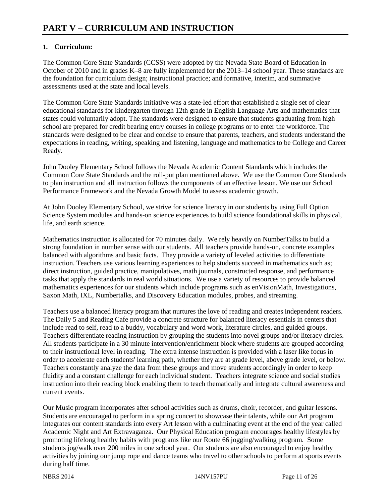### **1. Curriculum:**

The Common Core State Standards (CCSS) were adopted by the Nevada State Board of Education in October of 2010 and in grades K–8 are fully implemented for the 2013–14 school year. These standards are the foundation for curriculum design; instructional practice; and formative, interim, and summative assessments used at the state and local levels.

The Common Core State Standards Initiative was a state-led effort that established a single set of clear educational standards for kindergarten through 12th grade in English Language Arts and mathematics that states could voluntarily adopt. The standards were designed to ensure that students graduating from high school are prepared for credit bearing entry courses in college programs or to enter the workforce. The standards were designed to be clear and concise to ensure that parents, teachers, and students understand the expectations in reading, writing, speaking and listening, language and mathematics to be College and Career Ready.

John Dooley Elementary School follows the Nevada Academic Content Standards which includes the Common Core State Standards and the roll-put plan mentioned above. We use the Common Core Standards to plan instruction and all instruction follows the components of an effective lesson. We use our School Performance Framework and the Nevada Growth Model to assess academic growth.

At John Dooley Elementary School, we strive for science literacy in our students by using Full Option Science System modules and hands-on science experiences to build science foundational skills in physical, life, and earth science.

Mathematics instruction is allocated for 70 minutes daily. We rely heavily on NumberTalks to build a strong foundation in number sense with our students. All teachers provide hands-on, concrete examples balanced with algorithms and basic facts. They provide a variety of leveled activities to differentiate instruction. Teachers use various learning experiences to help students succeed in mathematics such as; direct instruction, guided practice, manipulatives, math journals, constructed response, and performance tasks that apply the standards in real world situations. We use a variety of resources to provide balanced mathematics experiences for our students which include programs such as enVisionMath, Investigations, Saxon Math, IXL, Numbertalks, and Discovery Education modules, probes, and streaming.

Teachers use a balanced literacy program that nurtures the love of reading and creates independent readers. The Daily 5 and Reading Cafe provide a concrete structure for balanced literacy essentials in centers that include read to self, read to a buddy, vocabulary and word work, literature circles, and guided groups. Teachers differentiate reading instruction by grouping the students into novel groups and/or literacy circles. All students participate in a 30 minute intervention/enrichment block where students are grouped according to their instructional level in reading. The extra intense instruction is provided with a laser like focus in order to accelerate each students' learning path, whether they are at grade level, above grade level, or below. Teachers constantly analyze the data from these groups and move students accordingly in order to keep fluidity and a constant challenge for each individual student. Teachers integrate science and social studies instruction into their reading block enabling them to teach thematically and integrate cultural awareness and current events.

Our Music program incorporates after school activities such as drums, choir, recorder, and guitar lessons. Students are encouraged to perform in a spring concert to showcase their talents, while our Art program integrates our content standards into every Art lesson with a culminating event at the end of the year called Academic Night and Art Extravaganza. Our Physical Education program encourages healthy lifestyles by promoting lifelong healthy habits with programs like our Route 66 jogging/walking program. Some students jog/walk over 200 miles in one school year. Our students are also encouraged to enjoy healthy activities by joining our jump rope and dance teams who travel to other schools to perform at sports events during half time.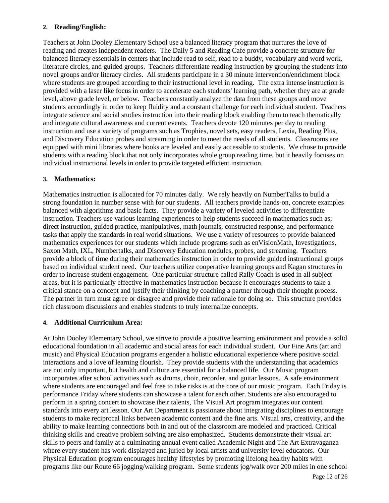#### **2. Reading/English:**

Teachers at John Dooley Elementary School use a balanced literacy program that nurtures the love of reading and creates independent readers. The Daily 5 and Reading Cafe provide a concrete structure for balanced literacy essentials in centers that include read to self, read to a buddy, vocabulary and word work, literature circles, and guided groups. Teachers differentiate reading instruction by grouping the students into novel groups and/or literacy circles. All students participate in a 30 minute intervention/enrichment block where students are grouped according to their instructional level in reading. The extra intense instruction is provided with a laser like focus in order to accelerate each students' learning path, whether they are at grade level, above grade level, or below. Teachers constantly analyze the data from these groups and move students accordingly in order to keep fluidity and a constant challenge for each individual student. Teachers integrate science and social studies instruction into their reading block enabling them to teach thematically and integrate cultural awareness and current events. Teachers devote 120 minutes per day to reading instruction and use a variety of programs such as Trophies, novel sets, easy readers, Lexia, Reading Plus, and Discovery Education probes and streaming in order to meet the needs of all students. Classrooms are equipped with mini libraries where books are leveled and easily accessible to students. We chose to provide students with a reading block that not only incorporates whole group reading time, but it heavily focuses on individual instructional levels in order to provide targeted efficient instruction.

#### **3. Mathematics:**

Mathematics instruction is allocated for 70 minutes daily. We rely heavily on NumberTalks to build a strong foundation in number sense with for our students. All teachers provide hands-on, concrete examples balanced with algorithms and basic facts. They provide a variety of leveled activities to differentiate instruction. Teachers use various learning experiences to help students succeed in mathematics such as; direct instruction, guided practice, manipulatives, math journals, constructed response, and performance tasks that apply the standards in real world situations. We use a variety of resources to provide balanced mathematics experiences for our students which include programs such as enVisionMath, Investigations, Saxon Math, IXL, Numbertalks, and Discovery Education modules, probes, and streaming. Teachers provide a block of time during their mathematics instruction in order to provide guided instructional groups based on individual student need. Our teachers utilize cooperative learning groups and Kagan structures in order to increase student engagement. One particular structure called Rally Coach is used in all subject areas, but it is particularly effective in mathematics instruction because it encourages students to take a critical stance on a concept and justify their thinking by coaching a partner through their thought process. The partner in turn must agree or disagree and provide their rationale for doing so. This structure provides rich classroom discussions and enables students to truly internalize concepts.

#### **4. Additional Curriculum Area:**

At John Dooley Elementary School, we strive to provide a positive learning environment and provide a solid educational foundation in all academic and social areas for each individual student. Our Fine Arts (art and music) and Physical Education programs engender a holistic educational experience where positive social interactions and a love of learning flourish. They provide students with the understanding that academics are not only important, but health and culture are essential for a balanced life. Our Music program incorporates after school activities such as drums, choir, recorder, and guitar lessons. A safe environment where students are encouraged and feel free to take risks is at the core of our music program. Each Friday is performance Friday where students can showcase a talent for each other. Students are also encouraged to perform in a spring concert to showcase their talents, The Visual Art program integrates our content standards into every art lesson. Our Art Department is passionate about integrating disciplines to encourage students to make reciprocal links between academic content and the fine arts. Visual arts, creativity, and the ability to make learning connections both in and out of the classroom are modeled and practiced. Critical thinking skills and creative problem solving are also emphasized. Students demonstrate their visual art skills to peers and family at a culminating annual event called Academic Night and The Art Extravaganza where every student has work displayed and juried by local artists and university level educators. Our Physical Education program encourages healthy lifestyles by promoting lifelong healthy habits with programs like our Route 66 jogging/walking program. Some students jog/walk over 200 miles in one school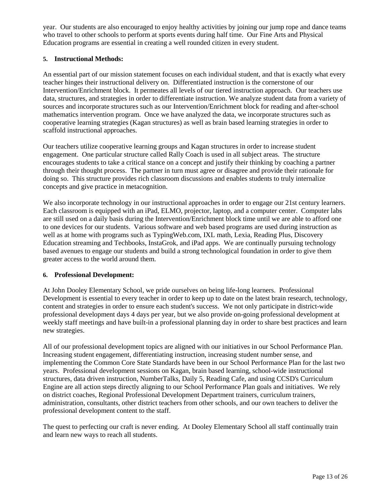year. Our students are also encouraged to enjoy healthy activities by joining our jump rope and dance teams who travel to other schools to perform at sports events during half time. Our Fine Arts and Physical Education programs are essential in creating a well rounded citizen in every student.

#### **5. Instructional Methods:**

An essential part of our mission statement focuses on each individual student, and that is exactly what every teacher hinges their instructional delivery on. Differentiated instruction is the cornerstone of our Intervention/Enrichment block. It permeates all levels of our tiered instruction approach. Our teachers use data, structures, and strategies in order to differentiate instruction. We analyze student data from a variety of sources and incorporate structures such as our Intervention/Enrichment block for reading and after-school mathematics intervention program. Once we have analyzed the data, we incorporate structures such as cooperative learning strategies (Kagan structures) as well as brain based learning strategies in order to scaffold instructional approaches.

Our teachers utilize cooperative learning groups and Kagan structures in order to increase student engagement. One particular structure called Rally Coach is used in all subject areas. The structure encourages students to take a critical stance on a concept and justify their thinking by coaching a partner through their thought process. The partner in turn must agree or disagree and provide their rationale for doing so. This structure provides rich classroom discussions and enables students to truly internalize concepts and give practice in metacognition.

We also incorporate technology in our instructional approaches in order to engage our 21st century learners. Each classroom is equipped with an iPad, ELMO, projector, laptop, and a computer center. Computer labs are still used on a daily basis during the Intervention/Enrichment block time until we are able to afford one to one devices for our students. Various software and web based programs are used during instruction as well as at home with programs such as TypingWeb.com, IXL math, Lexia, Reading Plus, Discovery Education streaming and Techbooks, InstaGrok, and iPad apps. We are continually pursuing technology based avenues to engage our students and build a strong technological foundation in order to give them greater access to the world around them.

#### **6. Professional Development:**

At John Dooley Elementary School, we pride ourselves on being life-long learners. Professional Development is essential to every teacher in order to keep up to date on the latest brain research, technology, content and strategies in order to ensure each student's success. We not only participate in district-wide professional development days 4 days per year, but we also provide on-going professional development at weekly staff meetings and have built-in a professional planning day in order to share best practices and learn new strategies.

All of our professional development topics are aligned with our initiatives in our School Performance Plan. Increasing student engagement, differentiating instruction, increasing student number sense, and implementing the Common Core State Standards have been in our School Performance Plan for the last two years. Professional development sessions on Kagan, brain based learning, school-wide instructional structures, data driven instruction, NumberTalks, Daily 5, Reading Cafe, and using CCSD's Curriculum Engine are all action steps directly aligning to our School Performance Plan goals and initiatives. We rely on district coaches, Regional Professional Development Department trainers, curriculum trainers, administration, consultants, other district teachers from other schools, and our own teachers to deliver the professional development content to the staff.

The quest to perfecting our craft is never ending. At Dooley Elementary School all staff continually train and learn new ways to reach all students.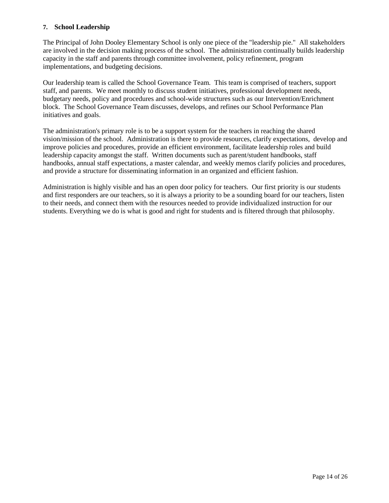#### **7. School Leadership**

The Principal of John Dooley Elementary School is only one piece of the "leadership pie." All stakeholders are involved in the decision making process of the school. The administration continually builds leadership capacity in the staff and parents through committee involvement, policy refinement, program implementations, and budgeting decisions.

Our leadership team is called the School Governance Team. This team is comprised of teachers, support staff, and parents. We meet monthly to discuss student initiatives, professional development needs, budgetary needs, policy and procedures and school-wide structures such as our Intervention/Enrichment block. The School Governance Team discusses, develops, and refines our School Performance Plan initiatives and goals.

The administration's primary role is to be a support system for the teachers in reaching the shared vision/mission of the school. Administration is there to provide resources, clarify expectations, develop and improve policies and procedures, provide an efficient environment, facilitate leadership roles and build leadership capacity amongst the staff. Written documents such as parent/student handbooks, staff handbooks, annual staff expectations, a master calendar, and weekly memos clarify policies and procedures, and provide a structure for disseminating information in an organized and efficient fashion.

Administration is highly visible and has an open door policy for teachers. Our first priority is our students and first responders are our teachers, so it is always a priority to be a sounding board for our teachers, listen to their needs, and connect them with the resources needed to provide individualized instruction for our students. Everything we do is what is good and right for students and is filtered through that philosophy.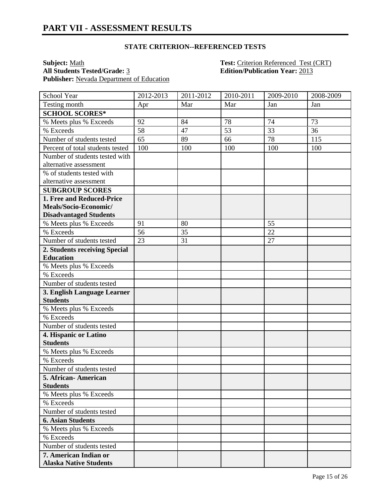**Subject:** <u>Math **Test:** Criterion Referenced Test (CRT)</u><br> **All Students Tested/Grade:** 3 **Edition/Publication Year:** 2013 Publisher: Nevada Department of Education

**Edition/Publication Year: 2013** 

| School Year                      | 2012-2013 | 2011-2012 | 2010-2011 | 2009-2010       | 2008-2009 |
|----------------------------------|-----------|-----------|-----------|-----------------|-----------|
| Testing month                    | Apr       | Mar       | Mar       | Jan             | Jan       |
| <b>SCHOOL SCORES*</b>            |           |           |           |                 |           |
| % Meets plus % Exceeds           | 92        | 84        | 78        | 74              | 73        |
| % Exceeds                        | 58        | 47        | 53        | $\overline{33}$ | 36        |
| Number of students tested        | 65        | 89        | 66        | 78              | 115       |
| Percent of total students tested | 100       | 100       | 100       | 100             | 100       |
| Number of students tested with   |           |           |           |                 |           |
| alternative assessment           |           |           |           |                 |           |
| % of students tested with        |           |           |           |                 |           |
| alternative assessment           |           |           |           |                 |           |
| <b>SUBGROUP SCORES</b>           |           |           |           |                 |           |
| 1. Free and Reduced-Price        |           |           |           |                 |           |
| Meals/Socio-Economic/            |           |           |           |                 |           |
| <b>Disadvantaged Students</b>    |           |           |           |                 |           |
| % Meets plus % Exceeds           | 91        | 80        |           | 55              |           |
| % Exceeds                        | 56        | 35        |           | 22              |           |
| Number of students tested        | 23        | 31        |           | 27              |           |
| 2. Students receiving Special    |           |           |           |                 |           |
| <b>Education</b>                 |           |           |           |                 |           |
| % Meets plus % Exceeds           |           |           |           |                 |           |
| % Exceeds                        |           |           |           |                 |           |
| Number of students tested        |           |           |           |                 |           |
| 3. English Language Learner      |           |           |           |                 |           |
| <b>Students</b>                  |           |           |           |                 |           |
| % Meets plus % Exceeds           |           |           |           |                 |           |
| % Exceeds                        |           |           |           |                 |           |
| Number of students tested        |           |           |           |                 |           |
| 4. Hispanic or Latino            |           |           |           |                 |           |
| <b>Students</b>                  |           |           |           |                 |           |
| % Meets plus % Exceeds           |           |           |           |                 |           |
| % Exceeds                        |           |           |           |                 |           |
| Number of students tested        |           |           |           |                 |           |
| 5. African-American              |           |           |           |                 |           |
| <b>Students</b>                  |           |           |           |                 |           |
| % Meets plus % Exceeds           |           |           |           |                 |           |
| % Exceeds                        |           |           |           |                 |           |
| Number of students tested        |           |           |           |                 |           |
| <b>6. Asian Students</b>         |           |           |           |                 |           |
| % Meets plus % Exceeds           |           |           |           |                 |           |
| % Exceeds                        |           |           |           |                 |           |
| Number of students tested        |           |           |           |                 |           |
| 7. American Indian or            |           |           |           |                 |           |
| <b>Alaska Native Students</b>    |           |           |           |                 |           |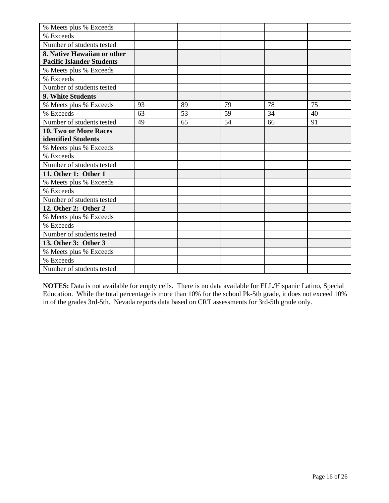| % Meets plus % Exceeds           |    |    |    |    |    |
|----------------------------------|----|----|----|----|----|
| % Exceeds                        |    |    |    |    |    |
| Number of students tested        |    |    |    |    |    |
| 8. Native Hawaiian or other      |    |    |    |    |    |
| <b>Pacific Islander Students</b> |    |    |    |    |    |
| % Meets plus % Exceeds           |    |    |    |    |    |
| % Exceeds                        |    |    |    |    |    |
| Number of students tested        |    |    |    |    |    |
| 9. White Students                |    |    |    |    |    |
| % Meets plus % Exceeds           | 93 | 89 | 79 | 78 | 75 |
| % Exceeds                        | 63 | 53 | 59 | 34 | 40 |
| Number of students tested        | 49 | 65 | 54 | 66 | 91 |
| 10. Two or More Races            |    |    |    |    |    |
| identified Students              |    |    |    |    |    |
| % Meets plus % Exceeds           |    |    |    |    |    |
| % Exceeds                        |    |    |    |    |    |
| Number of students tested        |    |    |    |    |    |
| 11. Other 1: Other 1             |    |    |    |    |    |
| % Meets plus % Exceeds           |    |    |    |    |    |
| % Exceeds                        |    |    |    |    |    |
| Number of students tested        |    |    |    |    |    |
| 12. Other 2: Other 2             |    |    |    |    |    |
| % Meets plus % Exceeds           |    |    |    |    |    |
| % Exceeds                        |    |    |    |    |    |
| Number of students tested        |    |    |    |    |    |
| 13. Other 3: Other 3             |    |    |    |    |    |
| % Meets plus % Exceeds           |    |    |    |    |    |
| % Exceeds                        |    |    |    |    |    |
| Number of students tested        |    |    |    |    |    |

**NOTES:** Data is not available for empty cells. There is no data available for ELL/Hispanic Latino, Special Education. While the total percentage is more than 10% for the school Pk-5th grade, it does not exceed 10% in of the grades 3rd-5th. Nevada reports data based on CRT assessments for 3rd-5th grade only.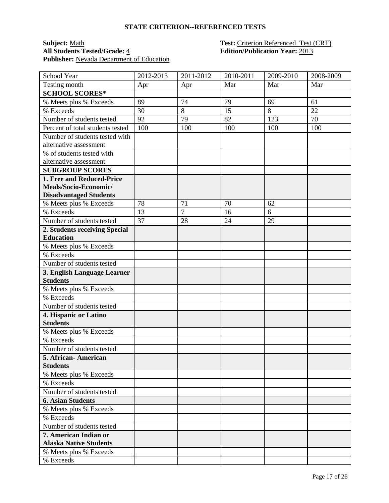#### **Subject:** <u>Math</u> **Test:** Criterion Referenced Test (CRT) **All Students Tested/Grade:** 4 **Edition/Publication Year:** 2013 Publisher: Nevada Department of Education

| School Year                      | 2012-2013 | 2011-2012      | 2010-2011 | 2009-2010 | 2008-2009 |
|----------------------------------|-----------|----------------|-----------|-----------|-----------|
| Testing month                    | Apr       | Apr            | Mar       | Mar       | Mar       |
| <b>SCHOOL SCORES*</b>            |           |                |           |           |           |
| % Meets plus % Exceeds           | 89        | 74             | 79        | 69        | 61        |
| % Exceeds                        | 30        | $8\,$          | 15        | $8\,$     | 22        |
| Number of students tested        | 92        | 79             | 82        | 123       | 70        |
| Percent of total students tested | 100       | 100            | 100       | 100       | 100       |
| Number of students tested with   |           |                |           |           |           |
| alternative assessment           |           |                |           |           |           |
| % of students tested with        |           |                |           |           |           |
| alternative assessment           |           |                |           |           |           |
| <b>SUBGROUP SCORES</b>           |           |                |           |           |           |
| 1. Free and Reduced-Price        |           |                |           |           |           |
| Meals/Socio-Economic/            |           |                |           |           |           |
| <b>Disadvantaged Students</b>    |           |                |           |           |           |
| % Meets plus % Exceeds           | 78        | 71             | 70        | 62        |           |
| % Exceeds                        | 13        | $\overline{7}$ | 16        | 6         |           |
| Number of students tested        | 37        | 28             | 24        | 29        |           |
| 2. Students receiving Special    |           |                |           |           |           |
| <b>Education</b>                 |           |                |           |           |           |
| % Meets plus % Exceeds           |           |                |           |           |           |
| % Exceeds                        |           |                |           |           |           |
| Number of students tested        |           |                |           |           |           |
| 3. English Language Learner      |           |                |           |           |           |
| <b>Students</b>                  |           |                |           |           |           |
| % Meets plus % Exceeds           |           |                |           |           |           |
| % Exceeds                        |           |                |           |           |           |
| Number of students tested        |           |                |           |           |           |
| 4. Hispanic or Latino            |           |                |           |           |           |
| <b>Students</b>                  |           |                |           |           |           |
| % Meets plus % Exceeds           |           |                |           |           |           |
| % Exceeds                        |           |                |           |           |           |
| Number of students tested        |           |                |           |           |           |
| 5. African-American              |           |                |           |           |           |
| <b>Students</b>                  |           |                |           |           |           |
| % Meets plus % Exceeds           |           |                |           |           |           |
| % Exceeds                        |           |                |           |           |           |
| Number of students tested        |           |                |           |           |           |
| <b>6. Asian Students</b>         |           |                |           |           |           |
| % Meets plus % Exceeds           |           |                |           |           |           |
| % Exceeds                        |           |                |           |           |           |
| Number of students tested        |           |                |           |           |           |
| 7. American Indian or            |           |                |           |           |           |
| <b>Alaska Native Students</b>    |           |                |           |           |           |
| % Meets plus % Exceeds           |           |                |           |           |           |
| % Exceeds                        |           |                |           |           |           |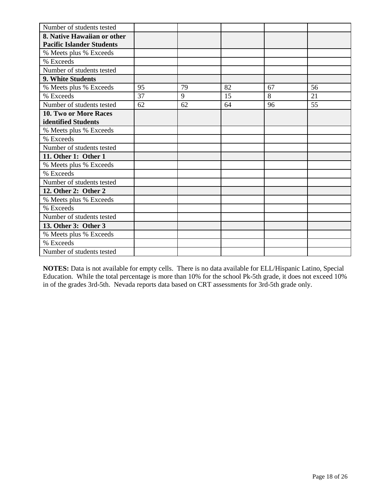| Number of students tested        |    |    |    |    |    |
|----------------------------------|----|----|----|----|----|
| 8. Native Hawaiian or other      |    |    |    |    |    |
| <b>Pacific Islander Students</b> |    |    |    |    |    |
| % Meets plus % Exceeds           |    |    |    |    |    |
| % Exceeds                        |    |    |    |    |    |
| Number of students tested        |    |    |    |    |    |
| 9. White Students                |    |    |    |    |    |
| % Meets plus % Exceeds           | 95 | 79 | 82 | 67 | 56 |
| % Exceeds                        | 37 | 9  | 15 | 8  | 21 |
| Number of students tested        | 62 | 62 | 64 | 96 | 55 |
| 10. Two or More Races            |    |    |    |    |    |
| identified Students              |    |    |    |    |    |
| % Meets plus % Exceeds           |    |    |    |    |    |
| % Exceeds                        |    |    |    |    |    |
| Number of students tested        |    |    |    |    |    |
| 11. Other 1: Other 1             |    |    |    |    |    |
| % Meets plus % Exceeds           |    |    |    |    |    |
| % Exceeds                        |    |    |    |    |    |
| Number of students tested        |    |    |    |    |    |
| 12. Other 2: Other 2             |    |    |    |    |    |
| % Meets plus % Exceeds           |    |    |    |    |    |
| % Exceeds                        |    |    |    |    |    |
| Number of students tested        |    |    |    |    |    |
| 13. Other 3: Other 3             |    |    |    |    |    |
| % Meets plus % Exceeds           |    |    |    |    |    |
| % Exceeds                        |    |    |    |    |    |
| Number of students tested        |    |    |    |    |    |

**NOTES:** Data is not available for empty cells. There is no data available for ELL/Hispanic Latino, Special Education. While the total percentage is more than 10% for the school Pk-5th grade, it does not exceed 10% in of the grades 3rd-5th. Nevada reports data based on CRT assessments for 3rd-5th grade only.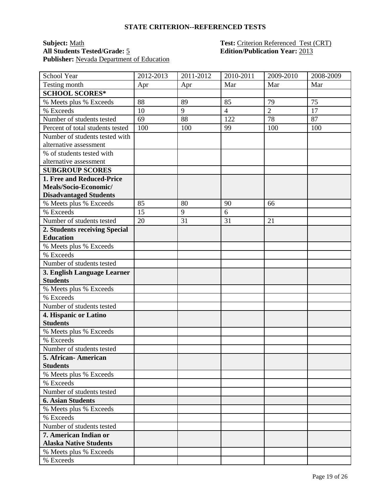#### **Subject:** <u>Math</u> **Test:** Criterion Referenced Test (CRT) **All Students Tested/Grade:** 5 **Edition/Publication Year:** 2013 Publisher: Nevada Department of Education

| School Year                      | 2012-2013 | 2011-2012 | 2010-2011      | 2009-2010      | 2008-2009 |
|----------------------------------|-----------|-----------|----------------|----------------|-----------|
| Testing month                    | Apr       | Apr       | Mar            | Mar            | Mar       |
| <b>SCHOOL SCORES*</b>            |           |           |                |                |           |
| % Meets plus % Exceeds           | 88        | 89        | 85             | 79             | 75        |
| % Exceeds                        | 10        | 9         | $\overline{4}$ | $\overline{2}$ | 17        |
| Number of students tested        | 69        | 88        | 122            | 78             | 87        |
| Percent of total students tested | 100       | 100       | 99             | 100            | 100       |
| Number of students tested with   |           |           |                |                |           |
| alternative assessment           |           |           |                |                |           |
| % of students tested with        |           |           |                |                |           |
| alternative assessment           |           |           |                |                |           |
| <b>SUBGROUP SCORES</b>           |           |           |                |                |           |
| 1. Free and Reduced-Price        |           |           |                |                |           |
| Meals/Socio-Economic/            |           |           |                |                |           |
| <b>Disadvantaged Students</b>    |           |           |                |                |           |
| % Meets plus % Exceeds           | 85        | 80        | 90             | 66             |           |
| % Exceeds                        | 15        | 9         | 6              |                |           |
| Number of students tested        | 20        | 31        | 31             | 21             |           |
| 2. Students receiving Special    |           |           |                |                |           |
| <b>Education</b>                 |           |           |                |                |           |
| % Meets plus % Exceeds           |           |           |                |                |           |
| % Exceeds                        |           |           |                |                |           |
| Number of students tested        |           |           |                |                |           |
| 3. English Language Learner      |           |           |                |                |           |
| <b>Students</b>                  |           |           |                |                |           |
| % Meets plus % Exceeds           |           |           |                |                |           |
| % Exceeds                        |           |           |                |                |           |
| Number of students tested        |           |           |                |                |           |
| 4. Hispanic or Latino            |           |           |                |                |           |
| <b>Students</b>                  |           |           |                |                |           |
| % Meets plus % Exceeds           |           |           |                |                |           |
| % Exceeds                        |           |           |                |                |           |
| Number of students tested        |           |           |                |                |           |
| 5. African-American              |           |           |                |                |           |
| <b>Students</b>                  |           |           |                |                |           |
| % Meets plus % Exceeds           |           |           |                |                |           |
| % Exceeds                        |           |           |                |                |           |
| Number of students tested        |           |           |                |                |           |
| <b>6. Asian Students</b>         |           |           |                |                |           |
| % Meets plus % Exceeds           |           |           |                |                |           |
| % Exceeds                        |           |           |                |                |           |
| Number of students tested        |           |           |                |                |           |
| 7. American Indian or            |           |           |                |                |           |
| <b>Alaska Native Students</b>    |           |           |                |                |           |
| % Meets plus % Exceeds           |           |           |                |                |           |
| % Exceeds                        |           |           |                |                |           |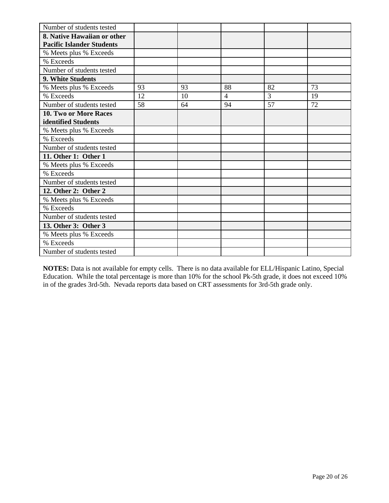| Number of students tested        |    |    |                |    |    |
|----------------------------------|----|----|----------------|----|----|
| 8. Native Hawaiian or other      |    |    |                |    |    |
| <b>Pacific Islander Students</b> |    |    |                |    |    |
| % Meets plus % Exceeds           |    |    |                |    |    |
| % Exceeds                        |    |    |                |    |    |
| Number of students tested        |    |    |                |    |    |
| 9. White Students                |    |    |                |    |    |
| % Meets plus % Exceeds           | 93 | 93 | 88             | 82 | 73 |
| % Exceeds                        | 12 | 10 | $\overline{4}$ | 3  | 19 |
| Number of students tested        | 58 | 64 | 94             | 57 | 72 |
| 10. Two or More Races            |    |    |                |    |    |
| identified Students              |    |    |                |    |    |
| % Meets plus % Exceeds           |    |    |                |    |    |
| % Exceeds                        |    |    |                |    |    |
| Number of students tested        |    |    |                |    |    |
| 11. Other 1: Other 1             |    |    |                |    |    |
| % Meets plus % Exceeds           |    |    |                |    |    |
| % Exceeds                        |    |    |                |    |    |
| Number of students tested        |    |    |                |    |    |
| 12. Other 2: Other 2             |    |    |                |    |    |
| % Meets plus % Exceeds           |    |    |                |    |    |
| % Exceeds                        |    |    |                |    |    |
| Number of students tested        |    |    |                |    |    |
| 13. Other 3: Other 3             |    |    |                |    |    |
| % Meets plus % Exceeds           |    |    |                |    |    |
| % Exceeds                        |    |    |                |    |    |
| Number of students tested        |    |    |                |    |    |

**NOTES:** Data is not available for empty cells. There is no data available for ELL/Hispanic Latino, Special Education. While the total percentage is more than 10% for the school Pk-5th grade, it does not exceed 10% in of the grades 3rd-5th. Nevada reports data based on CRT assessments for 3rd-5th grade only.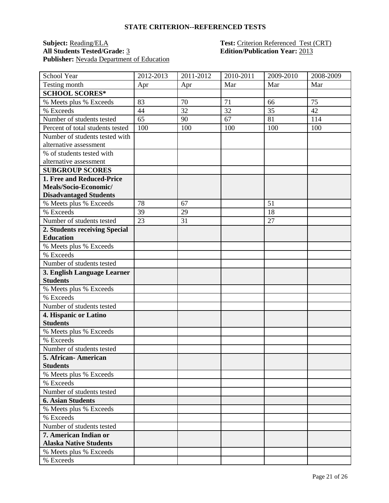#### **Subject:** <u>Reading/ELA</u> **Test:** Criterion Referenced Test (CRT) **All Students Tested/Grade:** 3 **Edition/Publication Year:** 2013 Publisher: Nevada Department of Education

| School Year                      | 2012-2013 | 2011-2012 | 2010-2011 | 2009-2010 | 2008-2009 |
|----------------------------------|-----------|-----------|-----------|-----------|-----------|
| Testing month                    | Apr       | Apr       | Mar       | Mar       | Mar       |
| <b>SCHOOL SCORES*</b>            |           |           |           |           |           |
| % Meets plus % Exceeds           | 83        | 70        | 71        | 66        | 75        |
| % Exceeds                        | 44        | 32        | 32        | 35        | 42        |
| Number of students tested        | 65        | 90        | 67        | 81        | 114       |
| Percent of total students tested | 100       | 100       | 100       | 100       | 100       |
| Number of students tested with   |           |           |           |           |           |
| alternative assessment           |           |           |           |           |           |
| % of students tested with        |           |           |           |           |           |
| alternative assessment           |           |           |           |           |           |
| <b>SUBGROUP SCORES</b>           |           |           |           |           |           |
| 1. Free and Reduced-Price        |           |           |           |           |           |
| Meals/Socio-Economic/            |           |           |           |           |           |
| <b>Disadvantaged Students</b>    |           |           |           |           |           |
| % Meets plus % Exceeds           | 78        | 67        |           | 51        |           |
| % Exceeds                        | 39        | 29        |           | 18        |           |
| Number of students tested        | 23        | 31        |           | 27        |           |
| 2. Students receiving Special    |           |           |           |           |           |
| <b>Education</b>                 |           |           |           |           |           |
| % Meets plus % Exceeds           |           |           |           |           |           |
| % Exceeds                        |           |           |           |           |           |
| Number of students tested        |           |           |           |           |           |
| 3. English Language Learner      |           |           |           |           |           |
| <b>Students</b>                  |           |           |           |           |           |
| % Meets plus % Exceeds           |           |           |           |           |           |
| % Exceeds                        |           |           |           |           |           |
| Number of students tested        |           |           |           |           |           |
| 4. Hispanic or Latino            |           |           |           |           |           |
| <b>Students</b>                  |           |           |           |           |           |
| % Meets plus % Exceeds           |           |           |           |           |           |
| % Exceeds                        |           |           |           |           |           |
| Number of students tested        |           |           |           |           |           |
| 5. African-American              |           |           |           |           |           |
| <b>Students</b>                  |           |           |           |           |           |
| % Meets plus % Exceeds           |           |           |           |           |           |
| % Exceeds                        |           |           |           |           |           |
| Number of students tested        |           |           |           |           |           |
| <b>6. Asian Students</b>         |           |           |           |           |           |
| % Meets plus % Exceeds           |           |           |           |           |           |
| % Exceeds                        |           |           |           |           |           |
| Number of students tested        |           |           |           |           |           |
| 7. American Indian or            |           |           |           |           |           |
| <b>Alaska Native Students</b>    |           |           |           |           |           |
| % Meets plus % Exceeds           |           |           |           |           |           |
| % Exceeds                        |           |           |           |           |           |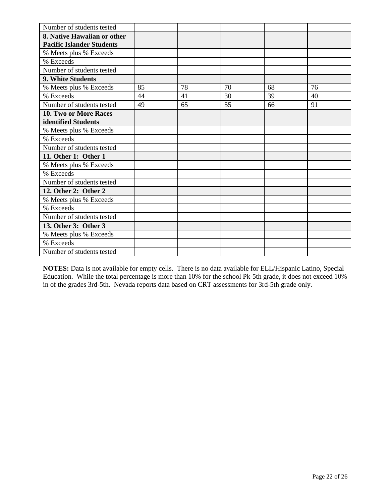| Number of students tested        |    |    |    |    |    |
|----------------------------------|----|----|----|----|----|
| 8. Native Hawaiian or other      |    |    |    |    |    |
| <b>Pacific Islander Students</b> |    |    |    |    |    |
| % Meets plus % Exceeds           |    |    |    |    |    |
| % Exceeds                        |    |    |    |    |    |
| Number of students tested        |    |    |    |    |    |
| 9. White Students                |    |    |    |    |    |
| % Meets plus % Exceeds           | 85 | 78 | 70 | 68 | 76 |
| % Exceeds                        | 44 | 41 | 30 | 39 | 40 |
| Number of students tested        | 49 | 65 | 55 | 66 | 91 |
| 10. Two or More Races            |    |    |    |    |    |
| identified Students              |    |    |    |    |    |
| % Meets plus % Exceeds           |    |    |    |    |    |
| % Exceeds                        |    |    |    |    |    |
| Number of students tested        |    |    |    |    |    |
| 11. Other 1: Other 1             |    |    |    |    |    |
| % Meets plus % Exceeds           |    |    |    |    |    |
| % Exceeds                        |    |    |    |    |    |
| Number of students tested        |    |    |    |    |    |
| 12. Other 2: Other 2             |    |    |    |    |    |
| % Meets plus % Exceeds           |    |    |    |    |    |
| % Exceeds                        |    |    |    |    |    |
| Number of students tested        |    |    |    |    |    |
| 13. Other 3: Other 3             |    |    |    |    |    |
| % Meets plus % Exceeds           |    |    |    |    |    |
| % Exceeds                        |    |    |    |    |    |
| Number of students tested        |    |    |    |    |    |

**NOTES:** Data is not available for empty cells. There is no data available for ELL/Hispanic Latino, Special Education. While the total percentage is more than 10% for the school Pk-5th grade, it does not exceed 10% in of the grades 3rd-5th. Nevada reports data based on CRT assessments for 3rd-5th grade only.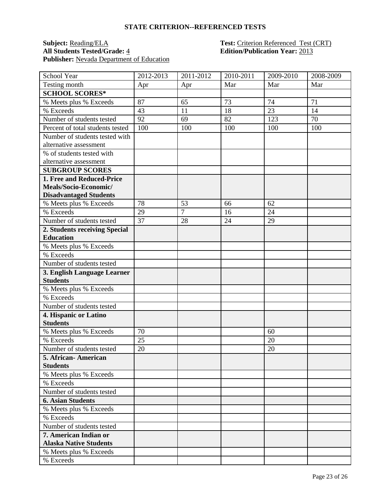## **Subject:** <u>Reading/ELA</u> **Test:** Criterion Referenced Test (CRT)<br> **All Students Tested/Grade:** 4 **Edition/Publication Year:** 2013 Publisher: Nevada Department of Education

# **All Students Tested/Grade:** 4 **Edition/Publication Year:** 2013

| School Year                      | 2012-2013 | 2011-2012      | 2010-2011 | 2009-2010 | 2008-2009 |
|----------------------------------|-----------|----------------|-----------|-----------|-----------|
| Testing month                    | Apr       | Apr            | Mar       | Mar       | Mar       |
| <b>SCHOOL SCORES*</b>            |           |                |           |           |           |
| % Meets plus % Exceeds           | 87        | 65             | 73        | 74        | 71        |
| % Exceeds                        | 43        | 11             | 18        | 23        | 14        |
| Number of students tested        | 92        | 69             | 82        | 123       | 70        |
| Percent of total students tested | 100       | 100            | 100       | 100       | 100       |
| Number of students tested with   |           |                |           |           |           |
| alternative assessment           |           |                |           |           |           |
| % of students tested with        |           |                |           |           |           |
| alternative assessment           |           |                |           |           |           |
| <b>SUBGROUP SCORES</b>           |           |                |           |           |           |
| 1. Free and Reduced-Price        |           |                |           |           |           |
| Meals/Socio-Economic/            |           |                |           |           |           |
| <b>Disadvantaged Students</b>    |           |                |           |           |           |
| % Meets plus % Exceeds           | 78        | 53             | 66        | 62        |           |
| % Exceeds                        | 29        | $\overline{7}$ | 16        | 24        |           |
| Number of students tested        | 37        | 28             | 24        | 29        |           |
| 2. Students receiving Special    |           |                |           |           |           |
| <b>Education</b>                 |           |                |           |           |           |
| % Meets plus % Exceeds           |           |                |           |           |           |
| % Exceeds                        |           |                |           |           |           |
| Number of students tested        |           |                |           |           |           |
| 3. English Language Learner      |           |                |           |           |           |
| <b>Students</b>                  |           |                |           |           |           |
| % Meets plus % Exceeds           |           |                |           |           |           |
| % Exceeds                        |           |                |           |           |           |
| Number of students tested        |           |                |           |           |           |
| 4. Hispanic or Latino            |           |                |           |           |           |
| <b>Students</b>                  |           |                |           |           |           |
| % Meets plus % Exceeds           | 70        |                |           | 60        |           |
| % Exceeds                        | 25        |                |           | 20        |           |
| Number of students tested        | 20        |                |           | 20        |           |
| 5. African-American              |           |                |           |           |           |
| <b>Students</b>                  |           |                |           |           |           |
| % Meets plus % Exceeds           |           |                |           |           |           |
| % Exceeds                        |           |                |           |           |           |
| Number of students tested        |           |                |           |           |           |
| <b>6. Asian Students</b>         |           |                |           |           |           |
| % Meets plus % Exceeds           |           |                |           |           |           |
| % Exceeds                        |           |                |           |           |           |
| Number of students tested        |           |                |           |           |           |
| 7. American Indian or            |           |                |           |           |           |
| <b>Alaska Native Students</b>    |           |                |           |           |           |
| % Meets plus % Exceeds           |           |                |           |           |           |
| % Exceeds                        |           |                |           |           |           |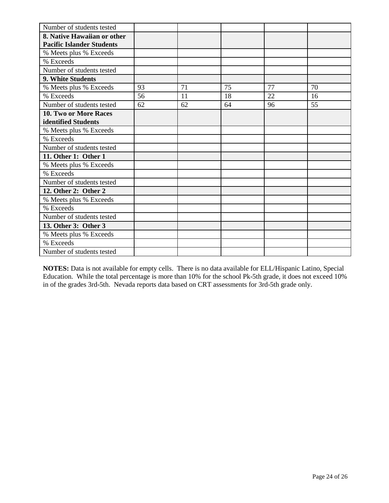| Number of students tested        |    |    |    |    |    |
|----------------------------------|----|----|----|----|----|
| 8. Native Hawaiian or other      |    |    |    |    |    |
| <b>Pacific Islander Students</b> |    |    |    |    |    |
| % Meets plus % Exceeds           |    |    |    |    |    |
| % Exceeds                        |    |    |    |    |    |
| Number of students tested        |    |    |    |    |    |
| 9. White Students                |    |    |    |    |    |
| % Meets plus % Exceeds           | 93 | 71 | 75 | 77 | 70 |
| % Exceeds                        | 56 | 11 | 18 | 22 | 16 |
| Number of students tested        | 62 | 62 | 64 | 96 | 55 |
| 10. Two or More Races            |    |    |    |    |    |
| identified Students              |    |    |    |    |    |
| % Meets plus % Exceeds           |    |    |    |    |    |
| % Exceeds                        |    |    |    |    |    |
| Number of students tested        |    |    |    |    |    |
| 11. Other 1: Other 1             |    |    |    |    |    |
| % Meets plus % Exceeds           |    |    |    |    |    |
| % Exceeds                        |    |    |    |    |    |
| Number of students tested        |    |    |    |    |    |
| 12. Other 2: Other 2             |    |    |    |    |    |
| % Meets plus % Exceeds           |    |    |    |    |    |
| % Exceeds                        |    |    |    |    |    |
| Number of students tested        |    |    |    |    |    |
| 13. Other 3: Other 3             |    |    |    |    |    |
| % Meets plus % Exceeds           |    |    |    |    |    |
| % Exceeds                        |    |    |    |    |    |
| Number of students tested        |    |    |    |    |    |

**NOTES:** Data is not available for empty cells. There is no data available for ELL/Hispanic Latino, Special Education. While the total percentage is more than 10% for the school Pk-5th grade, it does not exceed 10% in of the grades 3rd-5th. Nevada reports data based on CRT assessments for 3rd-5th grade only.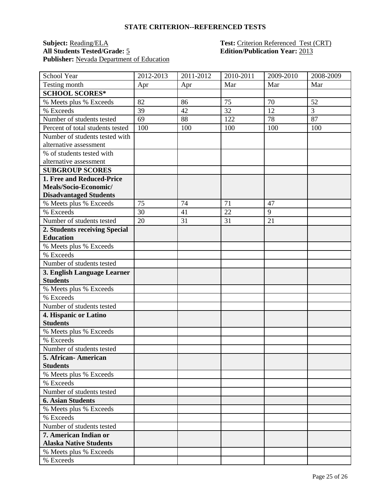## **Subject:** <u>Reading/ELA</u> **Test:** Criterion Referenced Test (CRT)<br> **All Students Tested/Grade:** 5 **CRT Edition/Publication Year:** 2013 Publisher: Nevada Department of Education

# **All Students Tested/Grade:** 5 **Edition/Publication Year:** 2013

| School Year                      | 2012-2013 | 2011-2012 | 2010-2011 | 2009-2010      | 2008-2009 |
|----------------------------------|-----------|-----------|-----------|----------------|-----------|
| Testing month                    | Apr       | Apr       | Mar       | Mar            | Mar       |
| <b>SCHOOL SCORES*</b>            |           |           |           |                |           |
| % Meets plus % Exceeds           | 82        | 86        | 75        | 70             | 52        |
| % Exceeds                        | 39        | 42        | 32        | 12             | 3         |
| Number of students tested        | 69        | 88        | 122       | 78             | 87        |
| Percent of total students tested | 100       | 100       | 100       | 100            | 100       |
| Number of students tested with   |           |           |           |                |           |
| alternative assessment           |           |           |           |                |           |
| % of students tested with        |           |           |           |                |           |
| alternative assessment           |           |           |           |                |           |
| <b>SUBGROUP SCORES</b>           |           |           |           |                |           |
| 1. Free and Reduced-Price        |           |           |           |                |           |
| Meals/Socio-Economic/            |           |           |           |                |           |
| <b>Disadvantaged Students</b>    |           |           |           |                |           |
| % Meets plus % Exceeds           | 75        | 74        | 71        | 47             |           |
| % Exceeds                        | 30        | 41        | 22        | $\overline{9}$ |           |
| Number of students tested        | 20        | 31        | 31        | 21             |           |
| 2. Students receiving Special    |           |           |           |                |           |
| <b>Education</b>                 |           |           |           |                |           |
| % Meets plus % Exceeds           |           |           |           |                |           |
| % Exceeds                        |           |           |           |                |           |
| Number of students tested        |           |           |           |                |           |
| 3. English Language Learner      |           |           |           |                |           |
| <b>Students</b>                  |           |           |           |                |           |
| % Meets plus % Exceeds           |           |           |           |                |           |
| % Exceeds                        |           |           |           |                |           |
| Number of students tested        |           |           |           |                |           |
| 4. Hispanic or Latino            |           |           |           |                |           |
| <b>Students</b>                  |           |           |           |                |           |
| % Meets plus % Exceeds           |           |           |           |                |           |
| % Exceeds                        |           |           |           |                |           |
| Number of students tested        |           |           |           |                |           |
| 5. African-American              |           |           |           |                |           |
| <b>Students</b>                  |           |           |           |                |           |
| % Meets plus % Exceeds           |           |           |           |                |           |
| % Exceeds                        |           |           |           |                |           |
| Number of students tested        |           |           |           |                |           |
| <b>6. Asian Students</b>         |           |           |           |                |           |
| % Meets plus % Exceeds           |           |           |           |                |           |
| % Exceeds                        |           |           |           |                |           |
| Number of students tested        |           |           |           |                |           |
| 7. American Indian or            |           |           |           |                |           |
| <b>Alaska Native Students</b>    |           |           |           |                |           |
| % Meets plus % Exceeds           |           |           |           |                |           |
| % Exceeds                        |           |           |           |                |           |